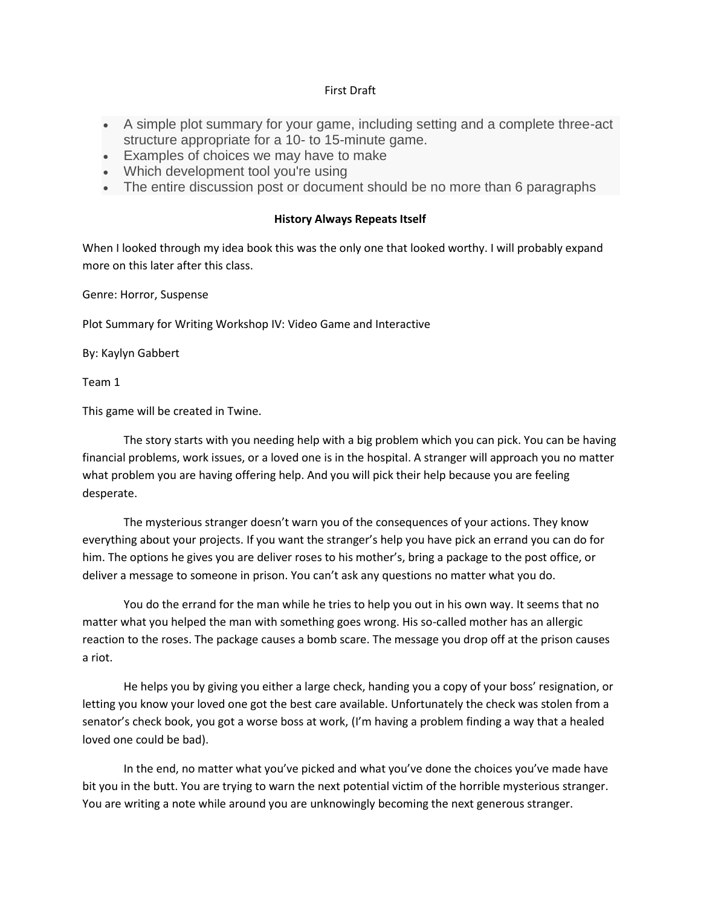## First Draft

- A simple plot summary for your game, including setting and a complete three-act structure appropriate for a 10- to 15-minute game.
- Examples of choices we may have to make
- Which development tool you're using
- The entire discussion post or document should be no more than 6 paragraphs

## **History Always Repeats Itself**

When I looked through my idea book this was the only one that looked worthy. I will probably expand more on this later after this class.

Genre: Horror, Suspense

Plot Summary for Writing Workshop IV: Video Game and Interactive

By: Kaylyn Gabbert

Team 1

This game will be created in Twine.

The story starts with you needing help with a big problem which you can pick. You can be having financial problems, work issues, or a loved one is in the hospital. A stranger will approach you no matter what problem you are having offering help. And you will pick their help because you are feeling desperate.

The mysterious stranger doesn't warn you of the consequences of your actions. They know everything about your projects. If you want the stranger's help you have pick an errand you can do for him. The options he gives you are deliver roses to his mother's, bring a package to the post office, or deliver a message to someone in prison. You can't ask any questions no matter what you do.

You do the errand for the man while he tries to help you out in his own way. It seems that no matter what you helped the man with something goes wrong. His so-called mother has an allergic reaction to the roses. The package causes a bomb scare. The message you drop off at the prison causes a riot.

He helps you by giving you either a large check, handing you a copy of your boss' resignation, or letting you know your loved one got the best care available. Unfortunately the check was stolen from a senator's check book, you got a worse boss at work, (I'm having a problem finding a way that a healed loved one could be bad).

In the end, no matter what you've picked and what you've done the choices you've made have bit you in the butt. You are trying to warn the next potential victim of the horrible mysterious stranger. You are writing a note while around you are unknowingly becoming the next generous stranger.